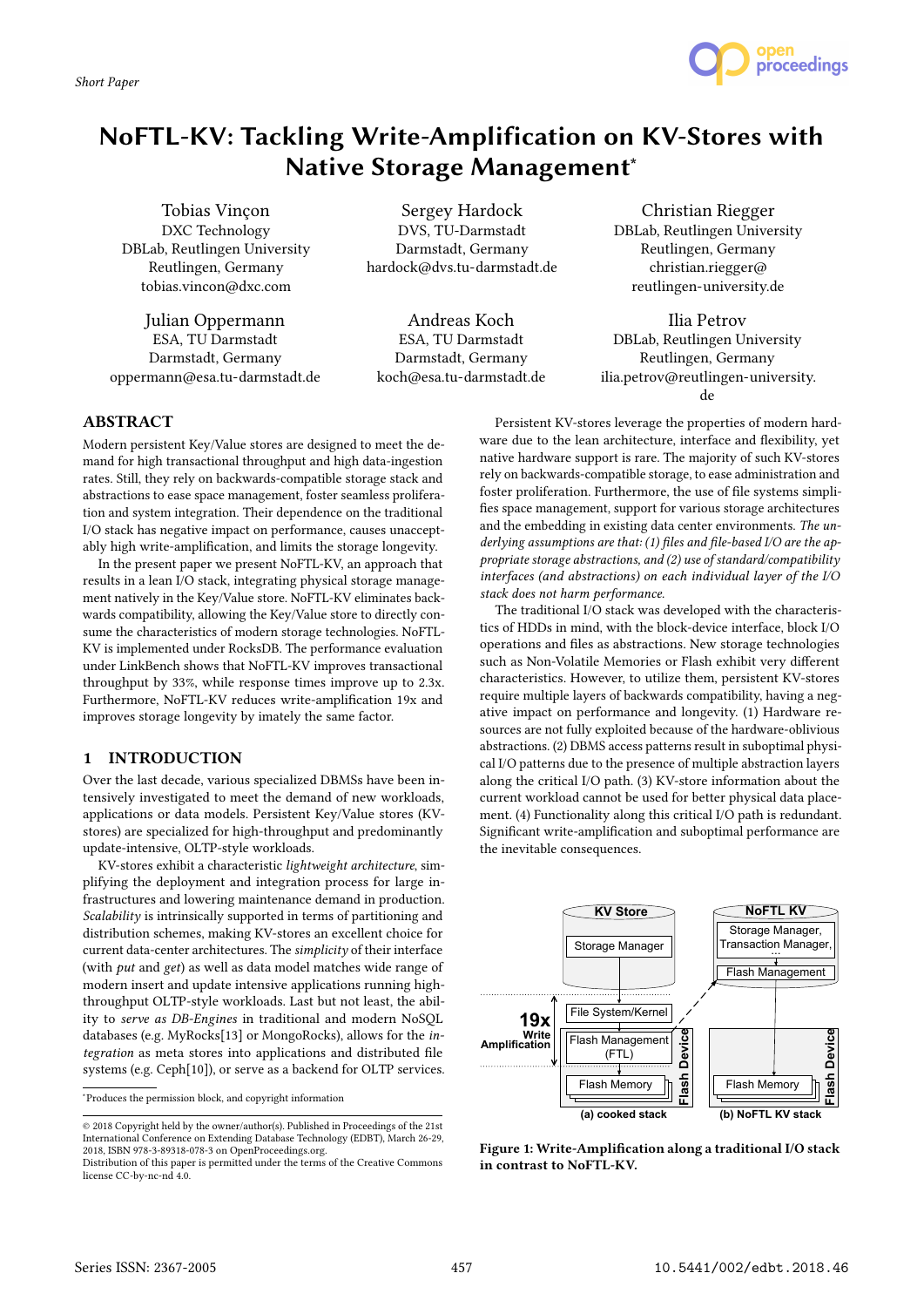# NoFTL-KV: Tackling Write-Amplification on KV-Stores with Native Storage Management<sup>\*</sup>

Tobias Vinçon DXC Technology DBLab, Reutlingen University Reutlingen, Germany tobias.vincon@dxc.com

Julian Oppermann ESA, TU Darmstadt Darmstadt, Germany oppermann@esa.tu-darmstadt.de

Sergey Hardock DVS, TU-Darmstadt Darmstadt, Germany hardock@dvs.tu-darmstadt.de

Andreas Koch ESA, TU Darmstadt Darmstadt, Germany koch@esa.tu-darmstadt.de

Christian Riegger DBLab, Reutlingen University Reutlingen, Germany christian.riegger@ reutlingen-university.de

Ilia Petrov DBLab, Reutlingen University Reutlingen, Germany ilia.petrov@reutlingen-university. de

## ABSTRACT

Modern persistent Key/Value stores are designed to meet the demand for high transactional throughput and high data-ingestion rates. Still, they rely on backwards-compatible storage stack and abstractions to ease space management, foster seamless proliferation and system integration. Their dependence on the traditional I/O stack has negative impact on performance, causes unacceptably high write-amplification, and limits the storage longevity.

In the present paper we present NoFTL-KV, an approach that results in a lean I/O stack, integrating physical storage management natively in the Key/Value store. NoFTL-KV eliminates backwards compatibility, allowing the Key/Value store to directly consume the characteristics of modern storage technologies. NoFTL-KV is implemented under RocksDB. The performance evaluation under LinkBench shows that NoFTL-KV improves transactional throughput by 33%, while response times improve up to 2.3x. Furthermore, NoFTL-KV reduces write-amplification 19x and improves storage longevity by imately the same factor.

## 1 INTRODUCTION

Over the last decade, various specialized DBMSs have been intensively investigated to meet the demand of new workloads, applications or data models. Persistent Key/Value stores (KVstores) are specialized for high-throughput and predominantly update-intensive, OLTP-style workloads.

KV-stores exhibit a characteristic lightweight architecture, simplifying the deployment and integration process for large infrastructures and lowering maintenance demand in production. Scalability is intrinsically supported in terms of partitioning and distribution schemes, making KV-stores an excellent choice for current data-center architectures. The simplicity of their interface (with put and get) as well as data model matches wide range of modern insert and update intensive applications running highthroughput OLTP-style workloads. Last but not least, the ability to serve as DB-Engines in traditional and modern NoSQL databases (e.g. MyRocks[13] or MongoRocks), allows for the integration as meta stores into applications and distributed file systems (e.g. Ceph[10]), or serve as a backend for OLTP services.

<sup>∗</sup>Produces the permission block, and copyright information

Persistent KV-stores leverage the properties of modern hardware due to the lean architecture, interface and flexibility, yet native hardware support is rare. The majority of such KV-stores rely on backwards-compatible storage, to ease administration and foster proliferation. Furthermore, the use of file systems simplifies space management, support for various storage architectures and the embedding in existing data center environments. The underlying assumptions are that: (1) files and file-based I/O are the appropriate storage abstractions, and (2) use of standard/compatibility interfaces (and abstractions) on each individual layer of the I/O stack does not harm performance.

The traditional I/O stack was developed with the characteristics of HDDs in mind, with the block-device interface, block I/O operations and files as abstractions. New storage technologies such as Non-Volatile Memories or Flash exhibit very different characteristics. However, to utilize them, persistent KV-stores require multiple layers of backwards compatibility, having a negative impact on performance and longevity. (1) Hardware resources are not fully exploited because of the hardware-oblivious abstractions. (2) DBMS access patterns result in suboptimal physical I/O patterns due to the presence of multiple abstraction layers along the critical I/O path. (3) KV-store information about the current workload cannot be used for better physical data placement. (4) Functionality along this critical I/O path is redundant. Significant write-amplification and suboptimal performance are the inevitable consequences.



**Fla s h**

**(a) cooked stack (b) NoFTL KV stack**

**KV** Store **NoFTL KV** 

**De vic e**

File System/Kernel

**19x Write Amplification**

Storage Manager

Flash Management (FTL)

Flash Memory F Flash Memory lash Memory



Storage Manager, **Transaction Manager** Flash Management

Flash Memory F Flash Memory lash Memory

**Fla s h**

**Devic e**

<sup>©</sup> 2018 Copyright held by the owner/author(s). Published in Proceedings of the 21st International Conference on Extending Database Technology (EDBT), March 26-29, 2018, ISBN 978-3-89318-078-3 on OpenProceedings.org.

Distribution of this paper is permitted under the terms of the Creative Commons license CC-by-nc-nd 4.0.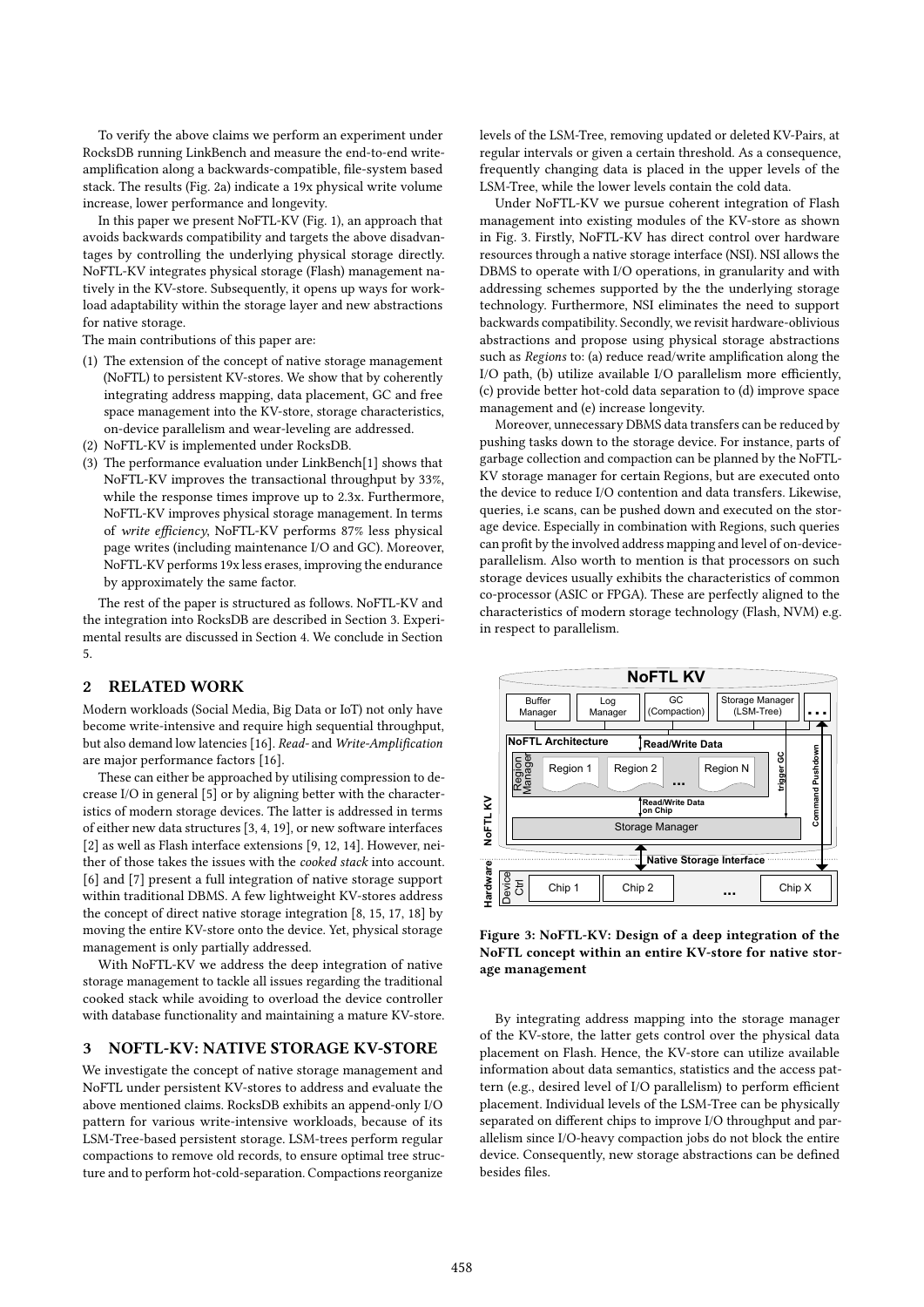To verify the above claims we perform an experiment under RocksDB running LinkBench and measure the end-to-end writeamplification along a backwards-compatible, file-system based stack. The results (Fig. 2a) indicate a 19x physical write volume increase, lower performance and longevity.

In this paper we present NoFTL-KV (Fig. 1), an approach that avoids backwards compatibility and targets the above disadvantages by controlling the underlying physical storage directly. NoFTL-KV integrates physical storage (Flash) management natively in the KV-store. Subsequently, it opens up ways for workload adaptability within the storage layer and new abstractions for native storage.

The main contributions of this paper are:

- (1) The extension of the concept of native storage management (NoFTL) to persistent KV-stores. We show that by coherently integrating address mapping, data placement, GC and free space management into the KV-store, storage characteristics, on-device parallelism and wear-leveling are addressed.
- (2) NoFTL-KV is implemented under RocksDB.
- (3) The performance evaluation under LinkBench[1] shows that NoFTL-KV improves the transactional throughput by 33%, while the response times improve up to 2.3x. Furthermore, NoFTL-KV improves physical storage management. In terms of write efficiency, NoFTL-KV performs 87% less physical page writes (including maintenance I/O and GC). Moreover, NoFTL-KV performs 19x less erases, improving the endurance by approximately the same factor.

The rest of the paper is structured as follows. NoFTL-KV and the integration into RocksDB are described in Section 3. Experimental results are discussed in Section 4. We conclude in Section 5.

## 2 RELATED WORK

Modern workloads (Social Media, Big Data or IoT) not only have become write-intensive and require high sequential throughput, but also demand low latencies [16]. Read- and Write-Amplification are major performance factors [16].

These can either be approached by utilising compression to decrease I/O in general [5] or by aligning better with the characteristics of modern storage devices. The latter is addressed in terms of either new data structures [3, 4, 19], or new software interfaces [2] as well as Flash interface extensions [9, 12, 14]. However, neither of those takes the issues with the cooked stack into account. [6] and [7] present a full integration of native storage support within traditional DBMS. A few lightweight KV-stores address the concept of direct native storage integration [8, 15, 17, 18] by moving the entire KV-store onto the device. Yet, physical storage management is only partially addressed.

With NoFTL-KV we address the deep integration of native storage management to tackle all issues regarding the traditional cooked stack while avoiding to overload the device controller with database functionality and maintaining a mature KV-store.

#### 3 NOFTL-KV: NATIVE STORAGE KV-STORE

We investigate the concept of native storage management and NoFTL under persistent KV-stores to address and evaluate the above mentioned claims. RocksDB exhibits an append-only I/O pattern for various write-intensive workloads, because of its LSM-Tree-based persistent storage. LSM-trees perform regular compactions to remove old records, to ensure optimal tree structure and to perform hot-cold-separation. Compactions reorganize

levels of the LSM-Tree, removing updated or deleted KV-Pairs, at regular intervals or given a certain threshold. As a consequence, frequently changing data is placed in the upper levels of the LSM-Tree, while the lower levels contain the cold data.

Under NoFTL-KV we pursue coherent integration of Flash management into existing modules of the KV-store as shown in Fig. 3. Firstly, NoFTL-KV has direct control over hardware resources through a native storage interface (NSI). NSI allows the DBMS to operate with I/O operations, in granularity and with addressing schemes supported by the the underlying storage technology. Furthermore, NSI eliminates the need to support backwards compatibility. Secondly, we revisit hardware-oblivious abstractions and propose using physical storage abstractions such as Regions to: (a) reduce read/write amplification along the I/O path, (b) utilize available I/O parallelism more efficiently, (c) provide better hot-cold data separation to (d) improve space management and (e) increase longevity.

Moreover, unnecessary DBMS data transfers can be reduced by pushing tasks down to the storage device. For instance, parts of garbage collection and compaction can be planned by the NoFTL-KV storage manager for certain Regions, but are executed onto the device to reduce I/O contention and data transfers. Likewise, queries, i.e scans, can be pushed down and executed on the storage device. Especially in combination with Regions, such queries can profit by the involved address mapping and level of on-deviceparallelism. Also worth to mention is that processors on such storage devices usually exhibits the characteristics of common co-processor (ASIC or FPGA). These are perfectly aligned to the characteristics of modern storage technology (Flash, NVM) e.g. in respect to parallelism.



Figure 3: NoFTL-KV: Design of a deep integration of the NoFTL concept within an entire KV-store for native storage management

By integrating address mapping into the storage manager of the KV-store, the latter gets control over the physical data placement on Flash. Hence, the KV-store can utilize available information about data semantics, statistics and the access pattern (e.g., desired level of I/O parallelism) to perform efficient placement. Individual levels of the LSM-Tree can be physically separated on different chips to improve I/O throughput and parallelism since I/O-heavy compaction jobs do not block the entire device. Consequently, new storage abstractions can be defined besides files.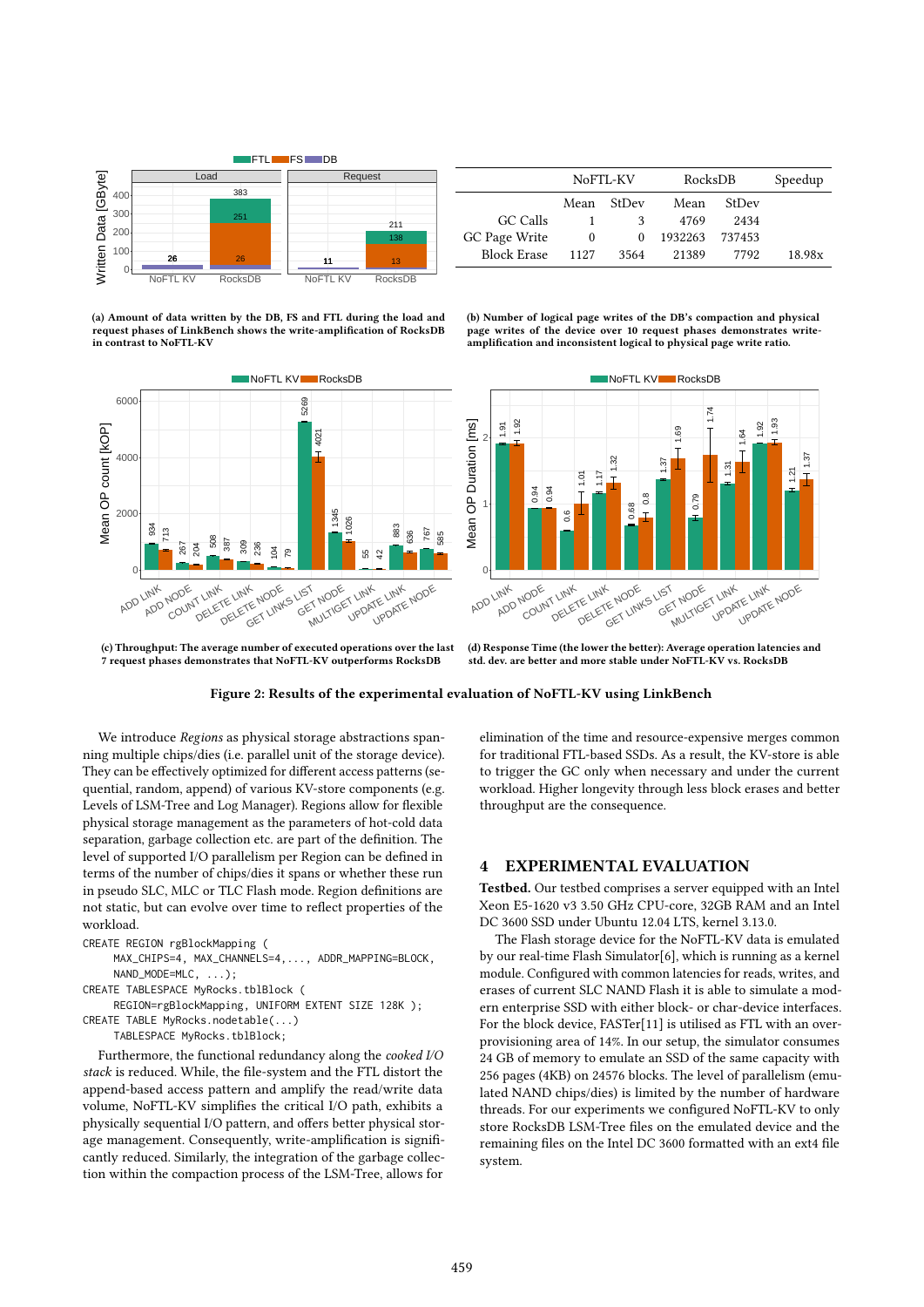

(a) Amount of data written by the DB, FS and FTL during the load and request phases of LinkBench shows the write-amplification of RocksDB in contrast to NoFTL-KV



NoFTL-KV RocksDB Speedup Mean StDev Mean StDev GC Calls 1 3 4769 2434 GC Page Write 0 0 1932263 737453<br>Block Erase 1127 3564 21389 7792 Block Erase 1127 3564 21389 7792 18.98x

(b) Number of logical page writes of the DB's compaction and physical page writes of the device over 10 request phases demonstrates writeamplification and inconsistent logical to physical page write ratio.



(c) Throughput: The average number of executed operations over the last

(d) Response Time (the lower the better): Average operation latencies and std. dev. are better and more stable under NoFTL-KV vs. RocksDB

Figure 2: Results of the experimental evaluation of NoFTL-KV using LinkBench

We introduce Regions as physical storage abstractions spanning multiple chips/dies (i.e. parallel unit of the storage device). They can be effectively optimized for different access patterns (sequential, random, append) of various KV-store components (e.g. Levels of LSM-Tree and Log Manager). Regions allow for flexible physical storage management as the parameters of hot-cold data separation, garbage collection etc. are part of the definition. The level of supported I/O parallelism per Region can be defined in terms of the number of chips/dies it spans or whether these run in pseudo SLC, MLC or TLC Flash mode. Region definitions are not static, but can evolve over time to reflect properties of the workload.

- MAX\_CHIPS=4, MAX\_CHANNELS=4,..., ADDR\_MAPPING=BLOCK, NAND\_MODE=MLC, ...);
- CREATE TABLESPACE MyRocks.tblBlock (
- REGION=rgBlockMapping, UNIFORM EXTENT SIZE 128K );
- CREATE TABLE MyRocks.nodetable(...)
	- TABLESPACE MyRocks.tblBlock;

Furthermore, the functional redundancy along the cooked I/O stack is reduced. While, the file-system and the FTL distort the append-based access pattern and amplify the read/write data volume, NoFTL-KV simplifies the critical I/O path, exhibits a physically sequential I/O pattern, and offers better physical storage management. Consequently, write-amplification is significantly reduced. Similarly, the integration of the garbage collection within the compaction process of the LSM-Tree, allows for

elimination of the time and resource-expensive merges common for traditional FTL-based SSDs. As a result, the KV-store is able to trigger the GC only when necessary and under the current workload. Higher longevity through less block erases and better throughput are the consequence.

### 4 EXPERIMENTAL EVALUATION

Testbed. Our testbed comprises a server equipped with an Intel Xeon E5-1620 v3 3.50 GHz CPU-core, 32GB RAM and an Intel DC 3600 SSD under Ubuntu 12.04 LTS, kernel 3.13.0.

The Flash storage device for the NoFTL-KV data is emulated by our real-time Flash Simulator[6], which is running as a kernel module. Configured with common latencies for reads, writes, and erases of current SLC NAND Flash it is able to simulate a modern enterprise SSD with either block- or char-device interfaces. For the block device, FASTer[11] is utilised as FTL with an overprovisioning area of 14%. In our setup, the simulator consumes 24 GB of memory to emulate an SSD of the same capacity with 256 pages (4KB) on 24576 blocks. The level of parallelism (emulated NAND chips/dies) is limited by the number of hardware threads. For our experiments we configured NoFTL-KV to only store RocksDB LSM-Tree files on the emulated device and the remaining files on the Intel DC 3600 formatted with an ext4 file system.

CREATE REGION rgBlockMapping (